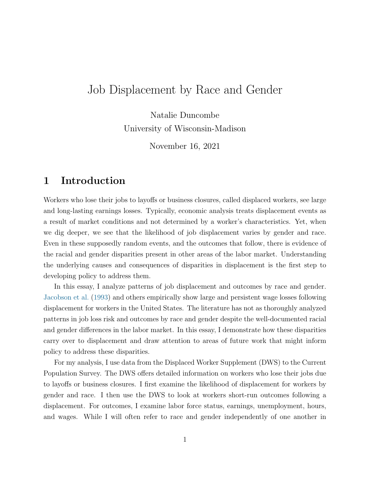# Job Displacement by Race and Gender

Natalie Duncombe University of Wisconsin-Madison

November 16, 2021

### 1 Introduction

Workers who lose their jobs to layoffs or business closures, called displaced workers, see large and long-lasting earnings losses. Typically, economic analysis treats displacement events as a result of market conditions and not determined by a worker's characteristics. Yet, when we dig deeper, we see that the likelihood of job displacement varies by gender and race. Even in these supposedly random events, and the outcomes that follow, there is evidence of the racial and gender disparities present in other areas of the labor market. Understanding the underlying causes and consequences of disparities in displacement is the first step to developing policy to address them.

In this essay, I analyze patterns of job displacement and outcomes by race and gender. [Jacobson et al.](#page-17-0) [\(1993\)](#page-17-0) and others empirically show large and persistent wage losses following displacement for workers in the United States. The literature has not as thoroughly analyzed patterns in job loss risk and outcomes by race and gender despite the well-documented racial and gender differences in the labor market. In this essay, I demonstrate how these disparities carry over to displacement and draw attention to areas of future work that might inform policy to address these disparities.

For my analysis, I use data from the Displaced Worker Supplement (DWS) to the Current Population Survey. The DWS offers detailed information on workers who lose their jobs due to layoffs or business closures. I first examine the likelihood of displacement for workers by gender and race. I then use the DWS to look at workers short-run outcomes following a displacement. For outcomes, I examine labor force status, earnings, unemployment, hours, and wages. While I will often refer to race and gender independently of one another in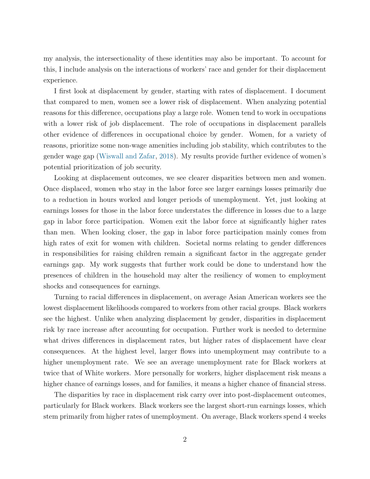my analysis, the intersectionality of these identities may also be important. To account for this, I include analysis on the interactions of workers' race and gender for their displacement experience.

I first look at displacement by gender, starting with rates of displacement. I document that compared to men, women see a lower risk of displacement. When analyzing potential reasons for this difference, occupations play a large role. Women tend to work in occupations with a lower risk of job displacement. The role of occupations in displacement parallels other evidence of differences in occupational choice by gender. Women, for a variety of reasons, prioritize some non-wage amenities including job stability, which contributes to the gender wage gap [\(Wiswall and Zafar,](#page-17-1) [2018\)](#page-17-1). My results provide further evidence of women's potential prioritization of job security.

Looking at displacement outcomes, we see clearer disparities between men and women. Once displaced, women who stay in the labor force see larger earnings losses primarily due to a reduction in hours worked and longer periods of unemployment. Yet, just looking at earnings losses for those in the labor force understates the difference in losses due to a large gap in labor force participation. Women exit the labor force at significantly higher rates than men. When looking closer, the gap in labor force participation mainly comes from high rates of exit for women with children. Societal norms relating to gender differences in responsibilities for raising children remain a significant factor in the aggregate gender earnings gap. My work suggests that further work could be done to understand how the presences of children in the household may alter the resiliency of women to employment shocks and consequences for earnings.

Turning to racial differences in displacement, on average Asian American workers see the lowest displacement likelihoods compared to workers from other racial groups. Black workers see the highest. Unlike when analyzing displacement by gender, disparities in displacement risk by race increase after accounting for occupation. Further work is needed to determine what drives differences in displacement rates, but higher rates of displacement have clear consequences. At the highest level, larger flows into unemployment may contribute to a higher unemployment rate. We see an average unemployment rate for Black workers at twice that of White workers. More personally for workers, higher displacement risk means a higher chance of earnings losses, and for families, it means a higher chance of financial stress.

The disparities by race in displacement risk carry over into post-displacement outcomes, particularly for Black workers. Black workers see the largest short-run earnings losses, which stem primarily from higher rates of unemployment. On average, Black workers spend 4 weeks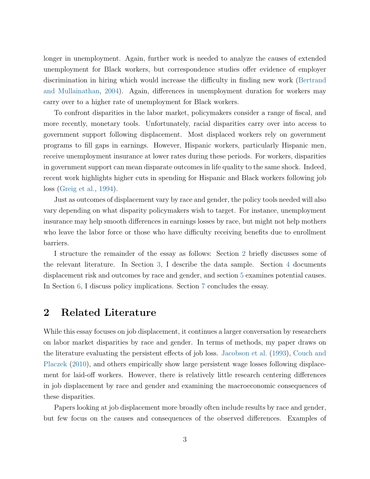longer in unemployment. Again, further work is needed to analyze the causes of extended unemployment for Black workers, but correspondence studies offer evidence of employer discrimination in hiring which would increase the difficulty in finding new work [\(Bertrand](#page-16-0) [and Mullainathan,](#page-16-0) [2004\)](#page-16-0). Again, differences in unemployment duration for workers may carry over to a higher rate of unemployment for Black workers.

To confront disparities in the labor market, policymakers consider a range of fiscal, and more recently, monetary tools. Unfortunately, racial disparities carry over into access to government support following displacement. Most displaced workers rely on government programs to fill gaps in earnings. However, Hispanic workers, particularly Hispanic men, receive unemployment insurance at lower rates during these periods. For workers, disparities in government support can mean disparate outcomes in life quality to the same shock. Indeed, recent work highlights higher cuts in spending for Hispanic and Black workers following job loss [\(Greig et al.,](#page-16-1) [1994\)](#page-16-1).

Just as outcomes of displacement vary by race and gender, the policy tools needed will also vary depending on what disparity policymakers wish to target. For instance, unemployment insurance may help smooth differences in earnings losses by race, but might not help mothers who leave the labor force or those who have difficulty receiving benefits due to enrollment barriers.

I structure the remainder of the essay as follows: Section [2](#page-2-0) briefly discusses some of the relevant literature. In Section [3,](#page-3-0) I describe the data sample. Section [4](#page-4-0) documents displacement risk and outcomes by race and gender, and section [5](#page-5-0) examines potential causes. In Section [6,](#page-12-0) I discuss policy implications. Section [7](#page-14-0) concludes the essay.

### <span id="page-2-0"></span>2 Related Literature

While this essay focuses on job displacement, it continues a larger conversation by researchers on labor market disparities by race and gender. In terms of methods, my paper draws on the literature evaluating the persistent effects of job loss. [Jacobson et al.](#page-17-0) [\(1993\)](#page-17-0), [Couch and](#page-16-2) [Placzek](#page-16-2) [\(2010\)](#page-16-2), and others empirically show large persistent wage losses following displacement for laid-off workers. However, there is relatively little research centering differences in job displacement by race and gender and examining the macroeconomic consequences of these disparities.

Papers looking at job displacement more broadly often include results by race and gender, but few focus on the causes and consequences of the observed differences. Examples of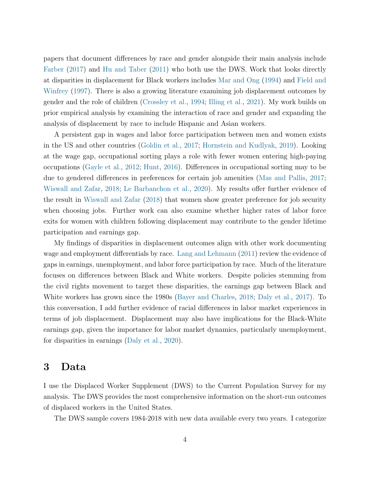papers that document differences by race and gender alongside their main analysis include [Farber](#page-16-3) [\(2017\)](#page-16-3) and [Hu and Taber](#page-17-2) [\(2011\)](#page-17-2) who both use the DWS. Work that looks directly at disparities in displacement for Black workers includes [Mar and Ong](#page-17-3) [\(1994\)](#page-17-3) and [Field and](#page-16-4) [Winfrey](#page-16-4) [\(1997\)](#page-16-4). There is also a growing literature examining job displacement outcomes by gender and the role of children [\(Crossley et al.,](#page-16-5) [1994;](#page-16-5) [Illing et al.,](#page-17-4) [2021\)](#page-17-4). My work builds on prior empirical analysis by examining the interaction of race and gender and expanding the analysis of displacement by race to include Hispanic and Asian workers.

A persistent gap in wages and labor force participation between men and women exists in the US and other countries [\(Goldin et al.,](#page-16-6) [2017;](#page-16-6) [Hornstein and Kudlyak,](#page-17-5) [2019\)](#page-17-5). Looking at the wage gap, occupational sorting plays a role with fewer women entering high-paying occupations [\(Gayle et al.,](#page-16-7) [2012;](#page-16-7) [Hunt,](#page-17-6) [2016\)](#page-17-6). Differences in occupational sorting may to be due to gendered differences in preferences for certain job amenities [\(Mas and Pallis,](#page-17-7) [2017;](#page-17-7) [Wiswall and Zafar,](#page-17-1) [2018;](#page-17-1) [Le Barbanchon et al.,](#page-17-8) [2020\)](#page-17-8). My results offer further evidence of the result in [Wiswall and Zafar](#page-17-1) [\(2018\)](#page-17-1) that women show greater preference for job security when choosing jobs. Further work can also examine whether higher rates of labor force exits for women with children following displacement may contribute to the gender lifetime participation and earnings gap.

My findings of disparities in displacement outcomes align with other work documenting wage and employment differentials by race. [Lang and Lehmann](#page-17-9) [\(2011\)](#page-17-9) review the evidence of gaps in earnings, unemployment, and labor force participation by race. Much of the literature focuses on differences between Black and White workers. Despite policies stemming from the civil rights movement to target these disparities, the earnings gap between Black and White workers has grown since the 1980s [\(Bayer and Charles,](#page-16-8) [2018;](#page-16-8) [Daly et al.,](#page-16-9) [2017\)](#page-16-9). To this conversation, I add further evidence of racial differences in labor market experiences in terms of job displacement. Displacement may also have implications for the Black-White earnings gap, given the importance for labor market dynamics, particularly unemployment, for disparities in earnings [\(Daly et al.,](#page-16-10) [2020\)](#page-16-10).

### <span id="page-3-0"></span>3 Data

I use the Displaced Worker Supplement (DWS) to the Current Population Survey for my analysis. The DWS provides the most comprehensive information on the short-run outcomes of displaced workers in the United States.

The DWS sample covers 1984-2018 with new data available every two years. I categorize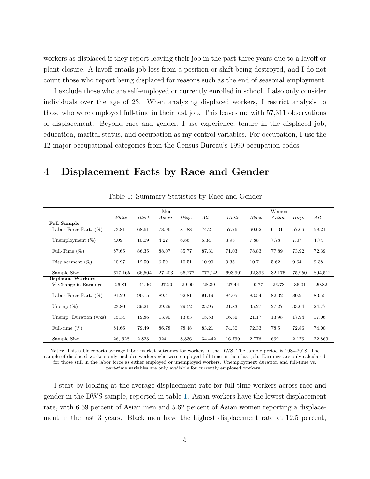workers as displaced if they report leaving their job in the past three years due to a layoff or plant closure. A layoff entails job loss from a position or shift being destroyed, and I do not count those who report being displaced for reasons such as the end of seasonal employment.

I exclude those who are self-employed or currently enrolled in school. I also only consider individuals over the age of 23. When analyzing displaced workers, I restrict analysis to those who were employed full-time in their lost job. This leaves me with 57,311 observations of displacement. Beyond race and gender, I use experience, tenure in the displaced job, education, marital status, and occupation as my control variables. For occupation, I use the 12 major occupational categories from the Census Bureau's 1990 occupation codes.

### <span id="page-4-0"></span>4 Displacement Facts by Race and Gender

<span id="page-4-1"></span>

|                          |          |          | Men      |          |          |          |          | Women    |          |          |
|--------------------------|----------|----------|----------|----------|----------|----------|----------|----------|----------|----------|
|                          | White    | Black    | Asian    | Hisp.    | All      | White    | Black    | Asian    | Hisp.    | All      |
| <b>Full Sample</b>       |          |          |          |          |          |          |          |          |          |          |
| Labor Force Part. $(\%)$ | 73.81    | 68.61    | 78.96    | 81.88    | 74.21    | 57.76    | 60.62    | 61.31    | 57.66    | 58.21    |
| Unemployment $(\%)$      | 4.09     | 10.09    | 4.22     | 6.86     | 5.34     | 3.93     | 7.88     | 7.78     | 7.07     | 4.74     |
| Full-Time $(\%)$         | 87.65    | 86.35    | 88.07    | 85.77    | 87.31    | 71.03    | 78.83    | 77.89    | 73.92    | 72.39    |
| Displacement $(\%)$      | 10.97    | 12.50    | 6.59     | 10.51    | 10.90    | 9.35     | 10.7     | 5.62     | 9.64     | 9.38     |
| Sample Size              | 617,165  | 66,504   | 27,203   | 66,277   | 777,149  | 693,991  | 92,396   | 32,175   | 75,950   | 894,512  |
| <b>Displaced Workers</b> |          |          |          |          |          |          |          |          |          |          |
| % Change in Earnings     | $-26.81$ | $-41.96$ | $-27.29$ | $-29.00$ | $-28.39$ | $-27.44$ | $-40.77$ | $-26.73$ | $-36.01$ | $-29.82$ |
| Labor Force Part. $(\%)$ | 91.29    | 90.15    | 89.4     | 92.81    | 91.19    | 84.05    | 83.54    | 82.32    | 80.91    | 83.55    |
| Unemp. $(\%)$            | 23.80    | 39.21    | 29.29    | 29.52    | 25.95    | 21.83    | 35.27    | 27.27    | 33.04    | 24.77    |
| Unemp. Duration (wks)    | 15.34    | 19.86    | 13.90    | 13.63    | 15.53    | 16.36    | 21.17    | 13.98    | 17.94    | 17.06    |
| Full-time $(\%)$         | 84.66    | 79.49    | 86.78    | 78.48    | 83.21    | 74.30    | 72.33    | 78.5     | 72.86    | 74.00    |
| Sample Size              | 26, 628  | 2,823    | 924      | 3,336    | 34,442   | 16,799   | 2,776    | 639      | 2,173    | 22,869   |

Table 1: Summary Statistics by Race and Gender

Notes: This table reports average labor market outcomes for workers in the DWS. The sample period is 1984-2018. The sample of displaced workers only includes workers who were employed full-time in their last job. Earnings are only calculated for those still in the labor force as either employed or unemployed workers. Unemployment duration and full-time vs. part-time variables are only available for currently employed workers.

I start by looking at the average displacement rate for full-time workers across race and gender in the DWS sample, reported in table [1.](#page-4-1) Asian workers have the lowest displacement rate, with 6.59 percent of Asian men and 5.62 percent of Asian women reporting a displacement in the last 3 years. Black men have the highest displacement rate at 12.5 percent,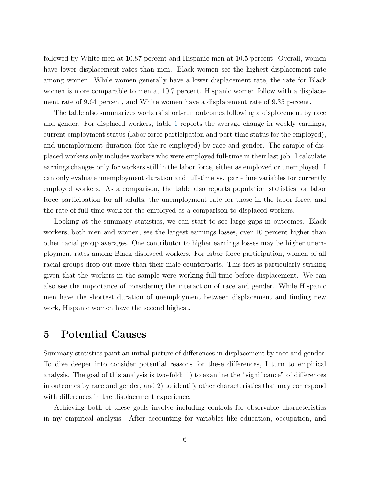followed by White men at 10.87 percent and Hispanic men at 10.5 percent. Overall, women have lower displacement rates than men. Black women see the highest displacement rate among women. While women generally have a lower displacement rate, the rate for Black women is more comparable to men at 10.7 percent. Hispanic women follow with a displacement rate of 9.64 percent, and White women have a displacement rate of 9.35 percent.

The table also summarizes workers' short-run outcomes following a displacement by race and gender. For displaced workers, table [1](#page-4-1) reports the average change in weekly earnings, current employment status (labor force participation and part-time status for the employed), and unemployment duration (for the re-employed) by race and gender. The sample of displaced workers only includes workers who were employed full-time in their last job. I calculate earnings changes only for workers still in the labor force, either as employed or unemployed. I can only evaluate unemployment duration and full-time vs. part-time variables for currently employed workers. As a comparison, the table also reports population statistics for labor force participation for all adults, the unemployment rate for those in the labor force, and the rate of full-time work for the employed as a comparison to displaced workers.

Looking at the summary statistics, we can start to see large gaps in outcomes. Black workers, both men and women, see the largest earnings losses, over 10 percent higher than other racial group averages. One contributor to higher earnings losses may be higher unemployment rates among Black displaced workers. For labor force participation, women of all racial groups drop out more than their male counterparts. This fact is particularly striking given that the workers in the sample were working full-time before displacement. We can also see the importance of considering the interaction of race and gender. While Hispanic men have the shortest duration of unemployment between displacement and finding new work, Hispanic women have the second highest.

### <span id="page-5-0"></span>5 Potential Causes

Summary statistics paint an initial picture of differences in displacement by race and gender. To dive deeper into consider potential reasons for these differences, I turn to empirical analysis. The goal of this analysis is two-fold: 1) to examine the "significance" of differences in outcomes by race and gender, and 2) to identify other characteristics that may correspond with differences in the displacement experience.

Achieving both of these goals involve including controls for observable characteristics in my empirical analysis. After accounting for variables like education, occupation, and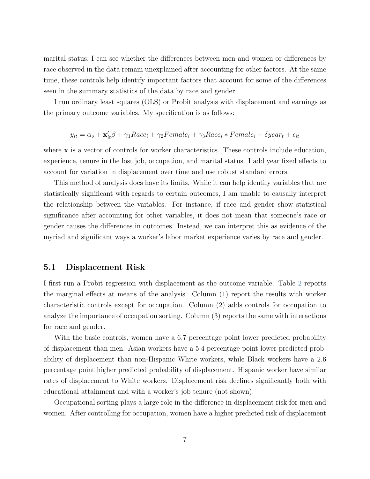marital status, I can see whether the differences between men and women or differences by race observed in the data remain unexplained after accounting for other factors. At the same time, these controls help identify important factors that account for some of the differences seen in the summary statistics of the data by race and gender.

I run ordinary least squares (OLS) or Probit analysis with displacement and earnings as the primary outcome variables. My specification is as follows:

$$
y_{it} = \alpha_o + \mathbf{x}'_{it}\beta + \gamma_1 Race_i + \gamma_2 Female_i + \gamma_3 Race_i * Female_i + \delta year_t + \epsilon_{it}
$$

where **x** is a vector of controls for worker characteristics. These controls include education, experience, tenure in the lost job, occupation, and marital status. I add year fixed effects to account for variation in displacement over time and use robust standard errors.

This method of analysis does have its limits. While it can help identify variables that are statistically significant with regards to certain outcomes, I am unable to causally interpret the relationship between the variables. For instance, if race and gender show statistical significance after accounting for other variables, it does not mean that someone's race or gender causes the differences in outcomes. Instead, we can interpret this as evidence of the myriad and significant ways a worker's labor market experience varies by race and gender.

### 5.1 Displacement Risk

I first run a Probit regression with displacement as the outcome variable. Table [2](#page-7-0) reports the marginal effects at means of the analysis. Column (1) report the results with worker characteristic controls except for occupation. Column (2) adds controls for occupation to analyze the importance of occupation sorting. Column (3) reports the same with interactions for race and gender.

With the basic controls, women have a 6.7 percentage point lower predicted probability of displacement than men. Asian workers have a 5.4 percentage point lower predicted probability of displacement than non-Hispanic White workers, while Black workers have a 2.6 percentage point higher predicted probability of displacement. Hispanic worker have similar rates of displacement to White workers. Displacement risk declines significantly both with educational attainment and with a worker's job tenure (not shown).

Occupational sorting plays a large role in the difference in displacement risk for men and women. After controlling for occupation, women have a higher predicted risk of displacement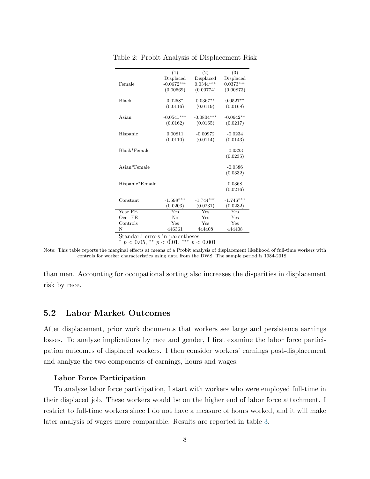|                                | (1)          | $\overline{(2)}$ | (3)          |  |  |
|--------------------------------|--------------|------------------|--------------|--|--|
|                                | Displaced    | Displaced        | Displaced    |  |  |
| Female                         | $-0.0672***$ | $0.0344***$      | $0.0373***$  |  |  |
|                                | (0.00669)    | (0.00774)        | (0.00873)    |  |  |
|                                |              |                  |              |  |  |
| <b>Black</b>                   | $0.0258*$    | $0.0367**$       | $0.0527**$   |  |  |
|                                | (0.0116)     | (0.0119)         | (0.0168)     |  |  |
|                                |              |                  |              |  |  |
| Asian                          | $-0.0541***$ | $-0.0804***$     | $-0.0642**$  |  |  |
|                                | (0.0162)     | (0.0165)         | (0.0217)     |  |  |
|                                |              | $-0.00972$       | $-0.0234$    |  |  |
| Hispanic                       | 0.00811      |                  |              |  |  |
|                                | (0.0110)     | (0.0114)         | (0.0143)     |  |  |
| Black*Female                   |              |                  | $-0.0333$    |  |  |
|                                |              |                  | (0.0235)     |  |  |
|                                |              |                  |              |  |  |
| Asian*Female                   |              |                  | $-0.0386$    |  |  |
|                                |              |                  | (0.0332)     |  |  |
|                                |              |                  |              |  |  |
| Hispanic*Female                |              |                  | 0.0368       |  |  |
|                                |              |                  | (0.0216)     |  |  |
|                                |              |                  |              |  |  |
| Constant                       | $-1.598***$  | $-1.744***$      | $-1.746***$  |  |  |
|                                | (0.0203)     | (0.0231)         | (0.0232)     |  |  |
| Year FE                        | Yes          | Yes              | $_{\rm Yes}$ |  |  |
| Occ. FE                        | No           | Yes              | Yes          |  |  |
| Controls                       | Yes          | Yes              | Yes          |  |  |
| N                              | 446361       | 444408           | 444408       |  |  |
| Standard errors in parentheses |              |                  |              |  |  |

<span id="page-7-0"></span>Table 2: Probit Analysis of Displacement Risk

\*  $p < 0.05$ , \*\*  $p < 0.01$ , \*\*\*  $p < 0.001$ 

Note: This table reports the marginal effects at means of a Probit analysis of displacement likelihood of full-time workers with controls for worker characteristics using data from the DWS. The sample period is 1984-2018.

than men. Accounting for occupational sorting also increases the disparities in displacement risk by race.

### 5.2 Labor Market Outcomes

After displacement, prior work documents that workers see large and persistence earnings losses. To analyze implications by race and gender, I first examine the labor force participation outcomes of displaced workers. I then consider workers' earnings post-displacement and analyze the two components of earnings, hours and wages.

#### Labor Force Participation

To analyze labor force participation, I start with workers who were employed full-time in their displaced job. These workers would be on the higher end of labor force attachment. I restrict to full-time workers since I do not have a measure of hours worked, and it will make later analysis of wages more comparable. Results are reported in table [3.](#page-8-0)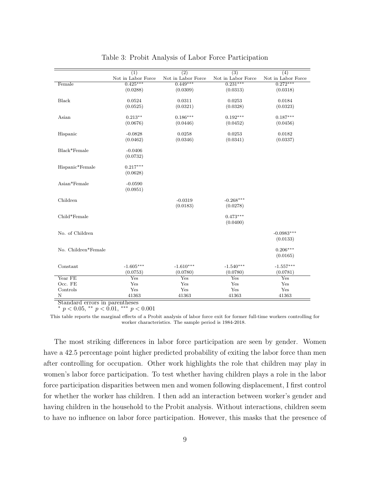<span id="page-8-0"></span>

|                     | (1)                | $\overline{(2)}$   | $\overline{(3)}$   | (4)                |
|---------------------|--------------------|--------------------|--------------------|--------------------|
|                     | Not in Labor Force | Not in Labor Force | Not in Labor Force | Not in Labor Force |
| Female              | $0.425***$         | $0.449***$         | $0.231***$         | $0.272***$         |
|                     | (0.0288)           | (0.0309)           | (0.0313)           | (0.0318)           |
|                     |                    |                    |                    |                    |
| <b>Black</b>        | 0.0524             | 0.0311             | 0.0253             | 0.0184             |
|                     | (0.0525)           | (0.0321)           | (0.0328)           | (0.0323)           |
|                     |                    |                    |                    |                    |
| Asian               | $0.213**$          | $0.186***$         | $0.192***$         | $0.187***$         |
|                     | (0.0676)           | (0.0446)           | (0.0452)           | (0.0456)           |
| Hispanic            | $-0.0828$          | 0.0258             | 0.0253             | 0.0182             |
|                     | (0.0462)           | (0.0346)           | (0.0341)           | (0.0337)           |
|                     |                    |                    |                    |                    |
| Black*Female        | $-0.0406$          |                    |                    |                    |
|                     | (0.0732)           |                    |                    |                    |
|                     |                    |                    |                    |                    |
| Hispanic*Female     | $0.217***$         |                    |                    |                    |
|                     | (0.0628)           |                    |                    |                    |
|                     |                    |                    |                    |                    |
| Asian*Female        | $-0.0590$          |                    |                    |                    |
|                     | (0.0951)           |                    |                    |                    |
|                     |                    |                    |                    |                    |
| Children            |                    | $-0.0319$          | $-0.268***$        |                    |
|                     |                    | (0.0183)           | (0.0278)           |                    |
| Child*Female        |                    |                    | $0.473***$         |                    |
|                     |                    |                    | (0.0400)           |                    |
|                     |                    |                    |                    |                    |
| No. of Children     |                    |                    |                    | $-0.0983***$       |
|                     |                    |                    |                    | (0.0133)           |
|                     |                    |                    |                    |                    |
| No. Children*Female |                    |                    |                    | $0.206***$         |
|                     |                    |                    |                    | (0.0165)           |
|                     |                    |                    |                    |                    |
| Constant            | $-1.605***$        | $-1.610***$        | $-1.540***$        | $-1.557***$        |
|                     | (0.0753)           | (0.0780)           | (0.0780)           | (0.0781)           |
| Year FE             | Yes                | Yes                | Yes                | Yes                |
| Occ. FE             | Yes                | Yes                | Yes                | Yes                |
| Controls            | Yes                | Yes                | Yes                | Yes                |
| N                   | 41363              | 41363              | 41363              | 41363              |

Table 3: Probit Analysis of Labor Force Participation

\*  $p < 0.05$ , \*\*  $p < 0.01$ , \*\*\*  $p < 0.001$ 

This table reports the marginal effects of a Probit analysis of labor force exit for former full-time workers controlling for worker characteristics. The sample period is 1984-2018.

The most striking differences in labor force participation are seen by gender. Women have a 42.5 percentage point higher predicted probability of exiting the labor force than men after controlling for occupation. Other work highlights the role that children may play in women's labor force participation. To test whether having children plays a role in the labor force participation disparities between men and women following displacement, I first control for whether the worker has children. I then add an interaction between worker's gender and having children in the household to the Probit analysis. Without interactions, children seem to have no influence on labor force participation. However, this masks that the presence of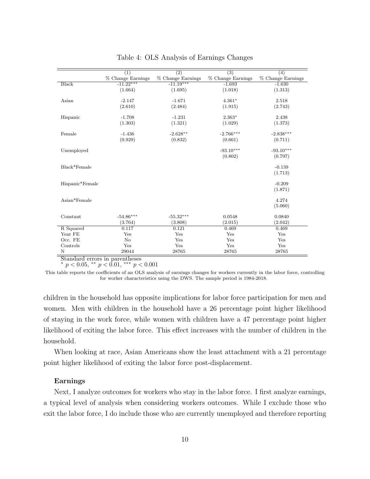<span id="page-9-0"></span>

|                 | $\overline{(1)}$  | $\overline{(2)}$  | $\overline{(3)}$  | $\overline{(4)}$  |
|-----------------|-------------------|-------------------|-------------------|-------------------|
|                 | % Change Earnings | % Change Earnings | % Change Earnings | % Change Earnings |
| <b>Black</b>    | $-11.22***$       | $-11.19***$       | $-1.693$          | $-1.630$          |
|                 | (1.664)           | (1.695)           | (1.018)           | (1.313)           |
|                 |                   |                   |                   |                   |
| Asian           | $-2.147$          | $-1.671$          | $4.361*$          | 2.518             |
|                 | (2.610)           | (2.484)           | (1.915)           | (2.743)           |
| Hispanic        | $-1.708$          | $-1.231$          | $2.363*$          | 2.438             |
|                 | (1.303)           | (1.321)           | (1.029)           | (1.373)           |
| Female          | $-1.436$          | $-2.628**$        | $-2.766***$       | $-2.838***$       |
|                 | (0.929)           | (0.832)           | (0.661)           | (0.711)           |
|                 |                   |                   |                   |                   |
| Unemployed      |                   |                   | $-93.10***$       | $-93.10***$       |
|                 |                   |                   | (0.802)           | (0.797)           |
| Black*Female    |                   |                   |                   | $-0.139$          |
|                 |                   |                   |                   | (1.713)           |
| Hispanic*Female |                   |                   |                   | $-0.209$          |
|                 |                   |                   |                   | (1.871)           |
|                 |                   |                   |                   |                   |
| Asian*Female    |                   |                   |                   | 4.274             |
|                 |                   |                   |                   | (5.060)           |
| Constant        | $-54.86***$       | $-55.32***$       | 0.0548            | 0.0840            |
|                 | (3.764)           | (3.808)           | (2.015)           | (2.042)           |
| R Squared       | 0.117             | 0.121             | 0.469             | 0.469             |
| Year FE         | Yes               | Yes               | Yes               | Yes               |
| Occ. FE         | No                | Yes               | Yes               | Yes               |
| Controls        | Yes               | Yes               | Yes               | Yes               |
| N               | 29044             | 28765             | 28765             | 28765             |

Table 4: OLS Analysis of Earnings Changes

\*  $p < 0.05$ , \*\*  $p < 0.01$ , \*\*\*  $p < 0.001$ 

This table reports the coefficients of an OLS analysis of earnings changes for workers currently in the labor force, controlling for worker characteristics using the DWS. The sample period is 1984-2018.

children in the household has opposite implications for labor force participation for men and women. Men with children in the household have a 26 percentage point higher likelihood of staying in the work force, while women with children have a 47 percentage point higher likelihood of exiting the labor force. This effect increases with the number of children in the household.

When looking at race, Asian Americans show the least attachment with a 21 percentage point higher likelihood of exiting the labor force post-displacement.

#### Earnings

Next, I analyze outcomes for workers who stay in the labor force. I first analyze earnings, a typical level of analysis when considering workers outcomes. While I exclude those who exit the labor force, I do include those who are currently unemployed and therefore reporting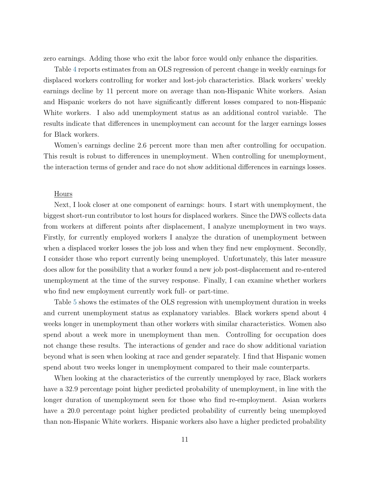zero earnings. Adding those who exit the labor force would only enhance the disparities.

Table [4](#page-9-0) reports estimates from an OLS regression of percent change in weekly earnings for displaced workers controlling for worker and lost-job characteristics. Black workers' weekly earnings decline by 11 percent more on average than non-Hispanic White workers. Asian and Hispanic workers do not have significantly different losses compared to non-Hispanic White workers. I also add unemployment status as an additional control variable. The results indicate that differences in unemployment can account for the larger earnings losses for Black workers.

Women's earnings decline 2.6 percent more than men after controlling for occupation. This result is robust to differences in unemployment. When controlling for unemployment, the interaction terms of gender and race do not show additional differences in earnings losses.

#### Hours

Next, I look closer at one component of earnings: hours. I start with unemployment, the biggest short-run contributor to lost hours for displaced workers. Since the DWS collects data from workers at different points after displacement, I analyze unemployment in two ways. Firstly, for currently employed workers I analyze the duration of unemployment between when a displaced worker losses the job loss and when they find new employment. Secondly, I consider those who report currently being unemployed. Unfortunately, this later measure does allow for the possibility that a worker found a new job post-displacement and re-entered unemployment at the time of the survey response. Finally, I can examine whether workers who find new employment currently work full- or part-time.

Table [5](#page-11-0) shows the estimates of the OLS regression with unemployment duration in weeks and current unemployment status as explanatory variables. Black workers spend about 4 weeks longer in unemployment than other workers with similar characteristics. Women also spend about a week more in unemployment than men. Controlling for occupation does not change these results. The interactions of gender and race do show additional variation beyond what is seen when looking at race and gender separately. I find that Hispanic women spend about two weeks longer in unemployment compared to their male counterparts.

When looking at the characteristics of the currently unemployed by race, Black workers have a 32.9 percentage point higher predicted probability of unemployment, in line with the longer duration of unemployment seen for those who find re-employment. Asian workers have a 20.0 percentage point higher predicted probability of currently being unemployed than non-Hispanic White workers. Hispanic workers also have a higher predicted probability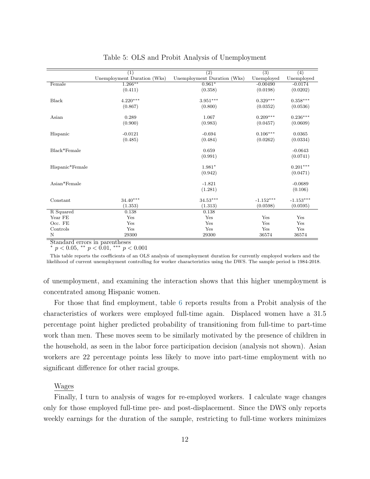<span id="page-11-0"></span>

|                 | $\overline{(1)}$            | $\overline{(2)}$            | $\overline{(3)}$ | $\overline{(4)}$ |
|-----------------|-----------------------------|-----------------------------|------------------|------------------|
|                 | Unemployment Duration (Wks) | Unemployment Duration (Wks) | Unemployed       | Unemployed       |
| Female          | $1.266***$                  | $0.961*$                    | $-0.00490$       | $-0.0174$        |
|                 | (0.411)                     | (0.358)                     | (0.0198)         | (0.0202)         |
|                 |                             |                             |                  |                  |
| <b>Black</b>    | $4.220***$                  | $3.951***$                  | $0.329***$       | $0.358***$       |
|                 | (0.867)                     | (0.800)                     | (0.0352)         | (0.0536)         |
| Asian           | 0.289                       | 1.067                       | $0.209***$       | $0.236***$       |
|                 | (0.900)                     | (0.983)                     | (0.0457)         | (0.0609)         |
|                 |                             |                             |                  |                  |
| Hispanic        | $-0.0121$                   | $-0.694$                    | $0.106***$       | 0.0365           |
|                 | (0.485)                     | (0.484)                     | (0.0262)         | (0.0334)         |
|                 |                             |                             |                  |                  |
| Black*Female    |                             | 0.659                       |                  | $-0.0643$        |
|                 |                             | (0.991)                     |                  | (0.0741)         |
|                 |                             |                             |                  |                  |
| Hispanic*Female |                             | $1.981*$                    |                  | $0.201***$       |
|                 |                             | (0.942)                     |                  | (0.0471)         |
| Asian*Female    |                             | $-1.821$                    |                  | $-0.0689$        |
|                 |                             |                             |                  | (0.106)          |
|                 |                             | (1.281)                     |                  |                  |
| Constant        | $34.40***$                  | $34.53***$                  | $-1.152***$      | $-1.153***$      |
|                 | (1.353)                     | (1.313)                     | (0.0598)         | (0.0595)         |
| R Squared       | 0.138                       | 0.138                       |                  |                  |
| Year $\rm FE$   | Yes                         | Yes                         | Yes              | Yes              |
| Occ. FE         | Yes                         | Yes                         | Yes              | Yes              |
| Controls        | Yes                         | Yes                         | Yes              | Yes              |
| Ν               | 29300                       | 29300                       | 36574            | 36574            |

Table 5: OLS and Probit Analysis of Unemployment

 $p < 0.05$ , \*\*  $p < 0.01$ , \*\*\*  $p < 0.001$ 

This table reports the coefficients of an OLS analysis of unemployment duration for currently employed workers and the likelihood of current unemployment controlling for worker characteristics using the DWS. The sample period is 1984-2018.

of unemployment, and examining the interaction shows that this higher unemployment is concentrated among Hispanic women.

For those that find employment, table [6](#page-12-1) reports results from a Probit analysis of the characteristics of workers were employed full-time again. Displaced women have a 31.5 percentage point higher predicted probability of transitioning from full-time to part-time work than men. These moves seem to be similarly motivated by the presence of children in the household, as seen in the labor force participation decision (analysis not shown). Asian workers are 22 percentage points less likely to move into part-time employment with no significant difference for other racial groups.

#### Wages

Finally, I turn to analysis of wages for re-employed workers. I calculate wage changes only for those employed full-time pre- and post-displacement. Since the DWS only reports weekly earnings for the duration of the sample, restricting to full-time workers minimizes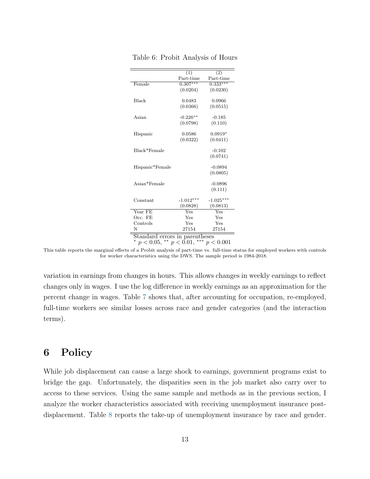<span id="page-12-1"></span>

|                                | (1)                       | (2)         |  |  |
|--------------------------------|---------------------------|-------------|--|--|
|                                | Part-time                 | Part-time   |  |  |
| Female                         | $0.307***$                | $0.333***$  |  |  |
|                                | (0.0204)                  | (0.0230)    |  |  |
|                                |                           |             |  |  |
| <b>Black</b>                   | 0.0483                    | 0.0966      |  |  |
|                                | (0.0366)                  | (0.0515)    |  |  |
| Asian                          | $-0.226**$                | $-0.185$    |  |  |
|                                |                           |             |  |  |
|                                | (0.0798)                  | (0.110)     |  |  |
| Hispanic                       | 0.0586                    | $0.0919*$   |  |  |
|                                | (0.0322)                  | (0.0411)    |  |  |
|                                |                           |             |  |  |
| Black*Female                   |                           | $-0.102$    |  |  |
|                                |                           | (0.0741)    |  |  |
|                                |                           |             |  |  |
| Hispanic*Female                |                           | $-0.0894$   |  |  |
|                                |                           | (0.0805)    |  |  |
|                                |                           |             |  |  |
| Asian*Female                   |                           | $-0.0896$   |  |  |
|                                |                           | (0.111)     |  |  |
| Constant                       | $-1.012***$               | $-1.025***$ |  |  |
|                                |                           |             |  |  |
|                                | (0.0828)                  | (0.0813)    |  |  |
| $Year$ FE                      | $\overline{\mathrm{Yes}}$ | Yes         |  |  |
| Occ. FE                        | Yes                       | Yes         |  |  |
| Controls                       | Yes                       | Yes         |  |  |
| N                              | 27154                     | 27154       |  |  |
| Standard errors in parentheses |                           |             |  |  |
| $p < 0.05$ ,                   | ** $p < 0.01$ ,           | p < 0.001   |  |  |

Table 6: Probit Analysis of Hours

This table reports the marginal effects of a Probit analysis of part-time vs. full-time status for employed workers with controls for worker characteristics using the DWS. The sample period is 1984-2018.

variation in earnings from changes in hours. This allows changes in weekly earnings to reflect changes only in wages. I use the log difference in weekly earnings as an approximation for the percent change in wages. Table [7](#page-13-0) shows that, after accounting for occupation, re-employed, full-time workers see similar losses across race and gender categories (and the interaction terms).

### <span id="page-12-0"></span>6 Policy

While job displacement can cause a large shock to earnings, government programs exist to bridge the gap. Unfortunately, the disparities seen in the job market also carry over to access to these services. Using the same sample and methods as in the previous section, I analyze the worker characteristics associated with receiving unemployment insurance postdisplacement. Table [8](#page-14-1) reports the take-up of unemployment insurance by race and gender.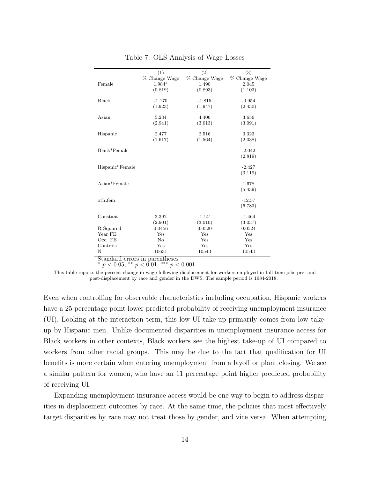<span id="page-13-0"></span>

|                 | (1)           | $\overline{(2)}$ | $\overline{(3)}$ |
|-----------------|---------------|------------------|------------------|
|                 | % Change Wage | % Change Wage    | % Change Wage    |
| Female          | 1.984*        | 1.490            | 2.045            |
|                 | (0.819)       | (0.893)          | (1.103)          |
|                 |               |                  |                  |
| Black           | $-1.170$      | $-1.815$         | $-0.954$         |
|                 | (1.923)       | (1.947)          | (2.430)          |
| Asian           |               | 4.406            | 3.656            |
|                 | 5.234         |                  |                  |
|                 | (2.941)       | (3.013)          | (3.091)          |
| Hispanic        | 2.477         | 2.516            | 3.323            |
|                 | (1.617)       | (1.564)          | (2.038)          |
|                 |               |                  |                  |
| Black*Female    |               |                  | $-2.042$         |
|                 |               |                  | (2.819)          |
|                 |               |                  |                  |
| Hispanic*Female |               |                  | $-2.427$         |
|                 |               |                  | (3.119)          |
|                 |               |                  |                  |
| Asian*Female    |               |                  | 1.678            |
|                 |               |                  | (5.439)          |
| oth_fem         |               |                  | $-12.37$         |
|                 |               |                  | (6.783)          |
|                 |               |                  |                  |
| Constant        | 3.392         | $-1.141$         | $-1.464$         |
|                 | (2.901)       | (3.010)          | (3.037)          |
| R Squared       | 0.0456        | 0.0520           | 0.0524           |
| Year FE         | Yes           | Yes              | Yes              |
| Occ. FE         | No            | Yes              | Yes              |
| Controls        | Yes           | Yes              | Yes              |
| N               | 10631         | 10543            | 10543            |

Table 7: OLS Analysis of Wage Losses

Standard errors in parentheses \*  $p < 0.05$ , \*\*  $p < 0.01$ , \*\*\*  $p < 0.001$ 

This table reports the percent change in wage following displacement for workers employed in full-time jobs pre- and post-displacement by race and gender in the DWS. The sample period is 1984-2018.

Even when controlling for observable characteristics including occupation, Hispanic workers have a 25 percentage point lower predicted probability of receiving unemployment insurance (UI). Looking at the interaction term, this low UI take-up primarily comes from low takeup by Hispanic men. Unlike documented disparities in unemployment insurance access for Black workers in other contexts, Black workers see the highest take-up of UI compared to workers from other racial groups. This may be due to the fact that qualification for UI benefits is more certain when entering unemployment from a layoff or plant closing. We see a similar pattern for women, who have an 11 percentage point higher predicted probability of receiving UI.

Expanding unemployment insurance access would be one way to begin to address disparities in displacement outcomes by race. At the same time, the policies that most effectively target disparities by race may not treat those by gender, and vice versa. When attempting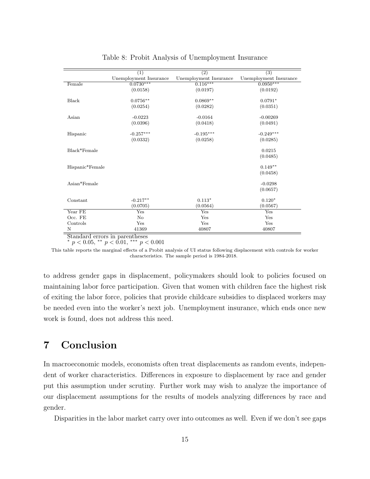<span id="page-14-1"></span>

|                 | (1)                    | (2)                    | $\overline{(3)}$       |
|-----------------|------------------------|------------------------|------------------------|
|                 | Unemployment Insurance | Unemployment Insurance | Unemployment Insurance |
| Female          | $0.0730***$            | $0.116***$             | $0.0950***$            |
|                 | (0.0158)               | (0.0197)               | (0.0192)               |
| Black           | $0.0756**$             | $0.0869**$             | $0.0791*$              |
|                 | (0.0254)               | (0.0282)               | (0.0351)               |
| Asian           | $-0.0223$              | $-0.0164$              | $-0.00269$             |
|                 | (0.0396)               | (0.0418)               | (0.0491)               |
| Hispanic        | $-0.257***$            | $-0.195***$            | $-0.249***$            |
|                 | (0.0332)               | (0.0258)               | (0.0285)               |
| Black*Female    |                        |                        | 0.0215                 |
|                 |                        |                        | (0.0485)               |
| Hispanic*Female |                        |                        | $0.149**$              |
|                 |                        |                        | (0.0458)               |
| Asian*Female    |                        |                        | $-0.0298$              |
|                 |                        |                        | (0.0657)               |
| Constant        | $-0.217**$             | $0.113*$               | $0.120*$               |
|                 | (0.0705)               | (0.0564)               | (0.0567)               |
| Year FE         | Yes                    | Yes                    | Yes                    |
| Occ. FE         | No                     | Yes                    | Yes                    |
| Controls        | Yes                    | Yes                    | Yes                    |
| N               | 41369                  | 40807                  | 40807                  |

Table 8: Probit Analysis of Unemployment Insurance

 $p < 0.05$ , \*\*  $p < 0.01$ , \*\*\*  $p < 0.001$ 

This table reports the marginal effects of a Probit analysis of UI status following displacement with controls for worker characteristics. The sample period is 1984-2018.

to address gender gaps in displacement, policymakers should look to policies focused on maintaining labor force participation. Given that women with children face the highest risk of exiting the labor force, policies that provide childcare subsidies to displaced workers may be needed even into the worker's next job. Unemployment insurance, which ends once new work is found, does not address this need.

## <span id="page-14-0"></span>7 Conclusion

In macroeconomic models, economists often treat displacements as random events, independent of worker characteristics. Differences in exposure to displacement by race and gender put this assumption under scrutiny. Further work may wish to analyze the importance of our displacement assumptions for the results of models analyzing differences by race and gender.

Disparities in the labor market carry over into outcomes as well. Even if we don't see gaps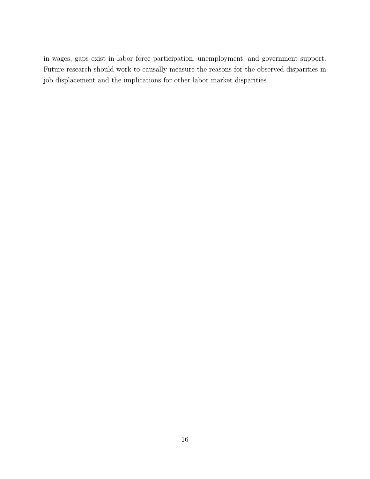in wages, gaps exist in labor force participation, unemployment, and government support. Future research should work to causally measure the reasons for the observed disparities in job displacement and the implications for other labor market disparities.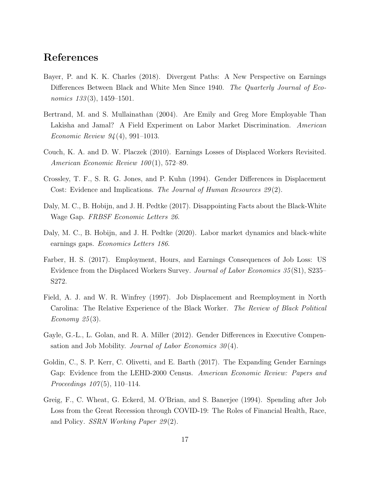## References

- <span id="page-16-8"></span>Bayer, P. and K. K. Charles (2018). Divergent Paths: A New Perspective on Earnings Differences Between Black and White Men Since 1940. The Quarterly Journal of Economics  $133(3)$ , 1459–1501.
- <span id="page-16-0"></span>Bertrand, M. and S. Mullainathan (2004). Are Emily and Greg More Employable Than Lakisha and Jamal? A Field Experiment on Labor Market Discrimination. American Economic Review 94 (4), 991–1013.
- <span id="page-16-2"></span>Couch, K. A. and D. W. Placzek (2010). Earnings Losses of Displaced Workers Revisited. American Economic Review 100(1), 572–89.
- <span id="page-16-5"></span>Crossley, T. F., S. R. G. Jones, and P. Kuhn (1994). Gender Differences in Displacement Cost: Evidence and Implications. The Journal of Human Resources 29(2).
- <span id="page-16-9"></span>Daly, M. C., B. Hobijn, and J. H. Pedtke (2017). Disappointing Facts about the Black-White Wage Gap. FRBSF Economic Letters 26.
- <span id="page-16-10"></span>Daly, M. C., B. Hobijn, and J. H. Pedtke (2020). Labor market dynamics and black-white earnings gaps. Economics Letters 186.
- <span id="page-16-3"></span>Farber, H. S. (2017). Employment, Hours, and Earnings Consequences of Job Loss: US Evidence from the Displaced Workers Survey. Journal of Labor Economics 35 (S1), S235– S272.
- <span id="page-16-4"></span>Field, A. J. and W. R. Winfrey (1997). Job Displacement and Reemployment in North Carolina: The Relative Experience of the Black Worker. The Review of Black Political Economy  $25(3)$ .
- <span id="page-16-7"></span>Gayle, G.-L., L. Golan, and R. A. Miller (2012). Gender Differences in Executive Compensation and Job Mobility. Journal of Labor Economics  $30(4)$ .
- <span id="page-16-6"></span>Goldin, C., S. P. Kerr, C. Olivetti, and E. Barth (2017). The Expanding Gender Earnings Gap: Evidence from the LEHD-2000 Census. American Economic Review: Papers and *Proceedings*  $107(5)$ , 110–114.
- <span id="page-16-1"></span>Greig, F., C. Wheat, G. Eckerd, M. O'Brian, and S. Banerjee (1994). Spending after Job Loss from the Great Recession through COVID-19: The Roles of Financial Health, Race, and Policy. *SSRN Working Paper 29(2)*.